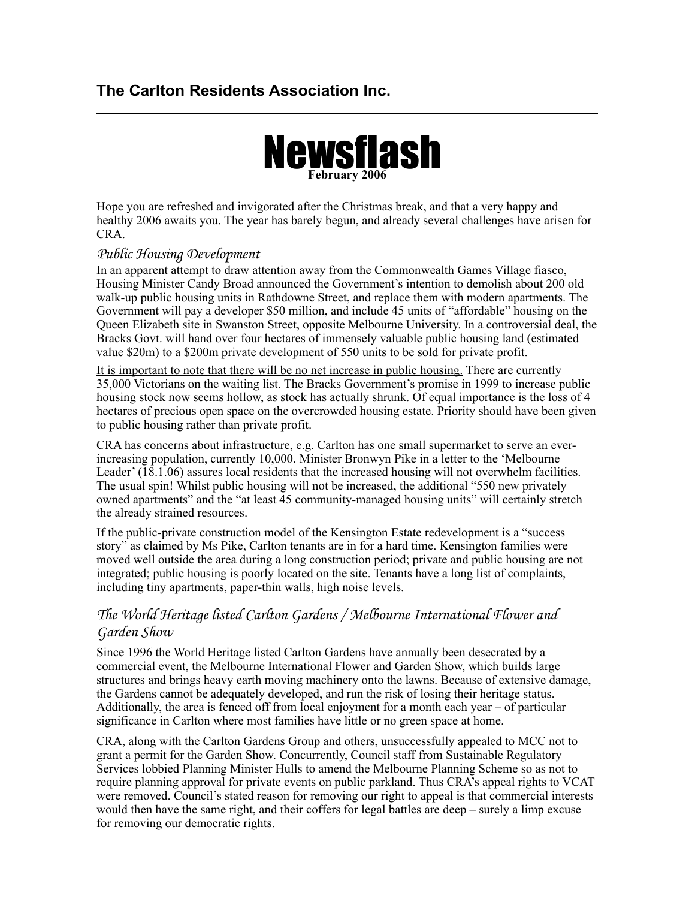## **The Carlton Residents Association Inc.**



Hope you are refreshed and invigorated after the Christmas break, and that a very happy and healthy 2006 awaits you. The year has barely begun, and already several challenges have arisen for CRA.

#### *Public Housing Development*

In an apparent attempt to draw attention away from the Commonwealth Games Village fiasco, Housing Minister Candy Broad announced the Government's intention to demolish about 200 old walk-up public housing units in Rathdowne Street, and replace them with modern apartments. The Government will pay a developer \$50 million, and include 45 units of "affordable" housing on the Queen Elizabeth site in Swanston Street, opposite Melbourne University. In a controversial deal, the Bracks Govt. will hand over four hectares of immensely valuable public housing land (estimated value \$20m) to a \$200m private development of 550 units to be sold for private profit.

It is important to note that there will be no net increase in public housing. There are currently 35,000 Victorians on the waiting list. The Bracks Government's promise in 1999 to increase public housing stock now seems hollow, as stock has actually shrunk. Of equal importance is the loss of 4 hectares of precious open space on the overcrowded housing estate. Priority should have been given to public housing rather than private profit.

CRA has concerns about infrastructure, e.g. Carlton has one small supermarket to serve an everincreasing population, currently 10,000. Minister Bronwyn Pike in a letter to the 'Melbourne Leader' (18.1.06) assures local residents that the increased housing will not overwhelm facilities. The usual spin! Whilst public housing will not be increased, the additional "550 new privately owned apartments" and the "at least 45 community-managed housing units" will certainly stretch the already strained resources.

If the public-private construction model of the Kensington Estate redevelopment is a "success story" as claimed by Ms Pike, Carlton tenants are in for a hard time. Kensington families were moved well outside the area during a long construction period; private and public housing are not integrated; public housing is poorly located on the site. Tenants have a long list of complaints, including tiny apartments, paper-thin walls, high noise levels.

### *The World Heritage listed Carlton Gardens / Melbourne International Flower and Garden Show*

Since 1996 the World Heritage listed Carlton Gardens have annually been desecrated by a commercial event, the Melbourne International Flower and Garden Show, which builds large structures and brings heavy earth moving machinery onto the lawns. Because of extensive damage, the Gardens cannot be adequately developed, and run the risk of losing their heritage status. Additionally, the area is fenced off from local enjoyment for a month each year – of particular significance in Carlton where most families have little or no green space at home.

CRA, along with the Carlton Gardens Group and others, unsuccessfully appealed to MCC not to grant a permit for the Garden Show. Concurrently, Council staff from Sustainable Regulatory Services lobbied Planning Minister Hulls to amend the Melbourne Planning Scheme so as not to require planning approval for private events on public parkland. Thus CRA's appeal rights to VCAT were removed. Council's stated reason for removing our right to appeal is that commercial interests would then have the same right, and their coffers for legal battles are deep – surely a limp excuse for removing our democratic rights.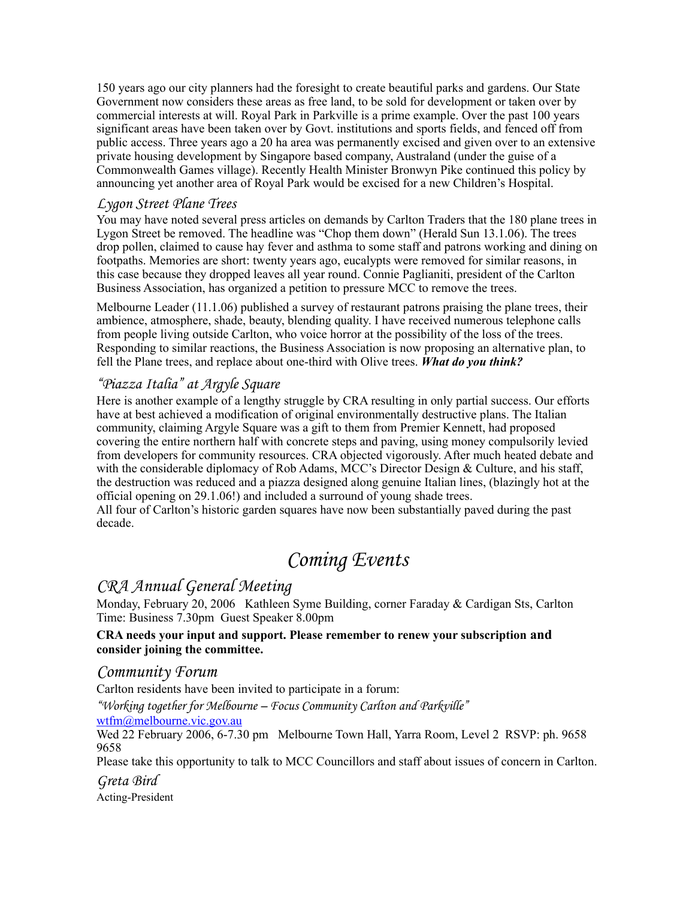150 years ago our city planners had the foresight to create beautiful parks and gardens. Our State Government now considers these areas as free land, to be sold for development or taken over by commercial interests at will. Royal Park in Parkville is a prime example. Over the past 100 years significant areas have been taken over by Govt. institutions and sports fields, and fenced off from public access. Three years ago a 20 ha area was permanently excised and given over to an extensive private housing development by Singapore based company, Australand (under the guise of a Commonwealth Games village). Recently Health Minister Bronwyn Pike continued this policy by announcing yet another area of Royal Park would be excised for a new Children's Hospital.

#### *Lygon Street Plane Trees*

You may have noted several press articles on demands by Carlton Traders that the 180 plane trees in Lygon Street be removed. The headline was "Chop them down" (Herald Sun 13.1.06). The trees drop pollen, claimed to cause hay fever and asthma to some staff and patrons working and dining on footpaths. Memories are short: twenty years ago, eucalypts were removed for similar reasons, in this case because they dropped leaves all year round. Connie Paglianiti, president of the Carlton Business Association, has organized a petition to pressure MCC to remove the trees.

Melbourne Leader (11.1.06) published a survey of restaurant patrons praising the plane trees, their ambience, atmosphere, shade, beauty, blending quality. I have received numerous telephone calls from people living outside Carlton, who voice horror at the possibility of the loss of the trees. Responding to similar reactions, the Business Association is now proposing an alternative plan, to fell the Plane trees, and replace about one-third with Olive trees. *What do you think?*

#### *"Piazza Italia" at Argyle Square*

Here is another example of a lengthy struggle by CRA resulting in only partial success. Our efforts have at best achieved a modification of original environmentally destructive plans. The Italian community, claiming Argyle Square was a gift to them from Premier Kennett, had proposed covering the entire northern half with concrete steps and paving, using money compulsorily levied from developers for community resources. CRA objected vigorously. After much heated debate and with the considerable diplomacy of Rob Adams, MCC's Director Design & Culture, and his staff, the destruction was reduced and a piazza designed along genuine Italian lines, (blazingly hot at the official opening on 29.1.06!) and included a surround of young shade trees.

All four of Carlton's historic garden squares have now been substantially paved during the past decade.

# *Coming Events*

## *CRA Annual General Meeting*

Monday, February 20, 2006 Kathleen Syme Building, corner Faraday & Cardigan Sts, Carlton Time: Business 7.30pm Guest Speaker 8.00pm

#### **CRA needs your input and support. Please remember to renew your subscription and consider joining the committee.**

#### *Community Forum*

Carlton residents have been invited to participate in a forum:

*"Working together for Melbourne – Focus Community Carlton and Parkville"* 

[wtfm@melbourne.vic.gov.au](mailto:wtfm@melbourne.vic.gov.au)

Wed 22 February 2006, 6-7.30 pm Melbourne Town Hall, Yarra Room, Level 2 RSVP: ph. 9658 9658

Please take this opportunity to talk to MCC Councillors and staff about issues of concern in Carlton.

*Greta Bird* 

Acting-President